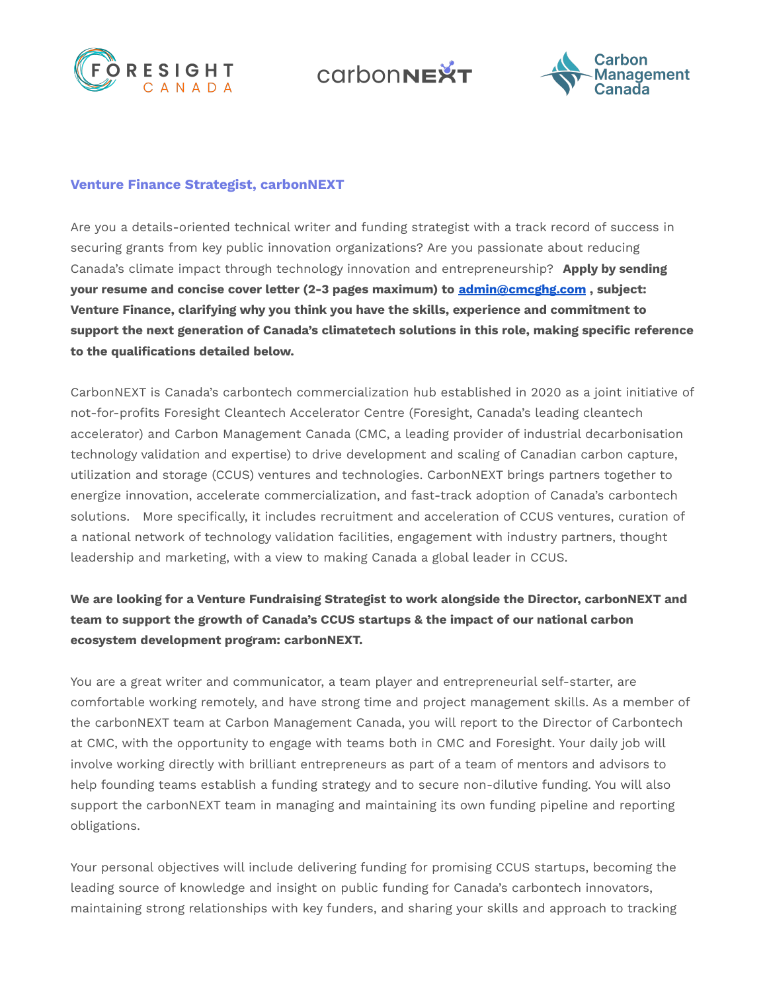

**COLOODNEXT** 



## **Venture Finance Strategist, carbonNEXT**

Are you a details-oriented technical writer and funding strategist with a track record of success in securing grants from key public innovation organizations? Are you passionate about reducing Canada's climate impact through technology innovation and entrepreneurship? **Apply by sending your resume and concise cover letter (2-3 pages maximum) to [admin@cmcghg.com](mailto:admin@cmcghg.com) , subject: Venture Finance, clarifying why you think you have the skills, experience and commitment to support the next generation of Canada's climatetech solutions in this role, making specific reference to the qualifications detailed below.**

CarbonNEXT is Canada's carbontech commercialization hub established in 2020 as a joint initiative of not-for-profits Foresight Cleantech Accelerator Centre (Foresight, Canada's leading cleantech accelerator) and Carbon Management Canada (CMC, a leading provider of industrial decarbonisation technology validation and expertise) to drive development and scaling of Canadian carbon capture, utilization and storage (CCUS) ventures and technologies. CarbonNEXT brings partners together to energize innovation, accelerate commercialization, and fast-track adoption of Canada's carbontech solutions. More specifically, it includes recruitment and acceleration of CCUS ventures, curation of a national network of technology validation facilities, engagement with industry partners, thought leadership and marketing, with a view to making Canada a global leader in CCUS.

## **We are looking for a Venture Fundraising Strategist to work alongside the Director, carbonNEXT and team to support the growth of Canada's CCUS startups & the impact of our national carbon ecosystem development program: carbonNEXT.**

You are a great writer and communicator, a team player and entrepreneurial self-starter, are comfortable working remotely, and have strong time and project management skills. As a member of the carbonNEXT team at Carbon Management Canada, you will report to the Director of Carbontech at CMC, with the opportunity to engage with teams both in CMC and Foresight. Your daily job will involve working directly with brilliant entrepreneurs as part of a team of mentors and advisors to help founding teams establish a funding strategy and to secure non-dilutive funding. You will also support the carbonNEXT team in managing and maintaining its own funding pipeline and reporting obligations.

Your personal objectives will include delivering funding for promising CCUS startups, becoming the leading source of knowledge and insight on public funding for Canada's carbontech innovators, maintaining strong relationships with key funders, and sharing your skills and approach to tracking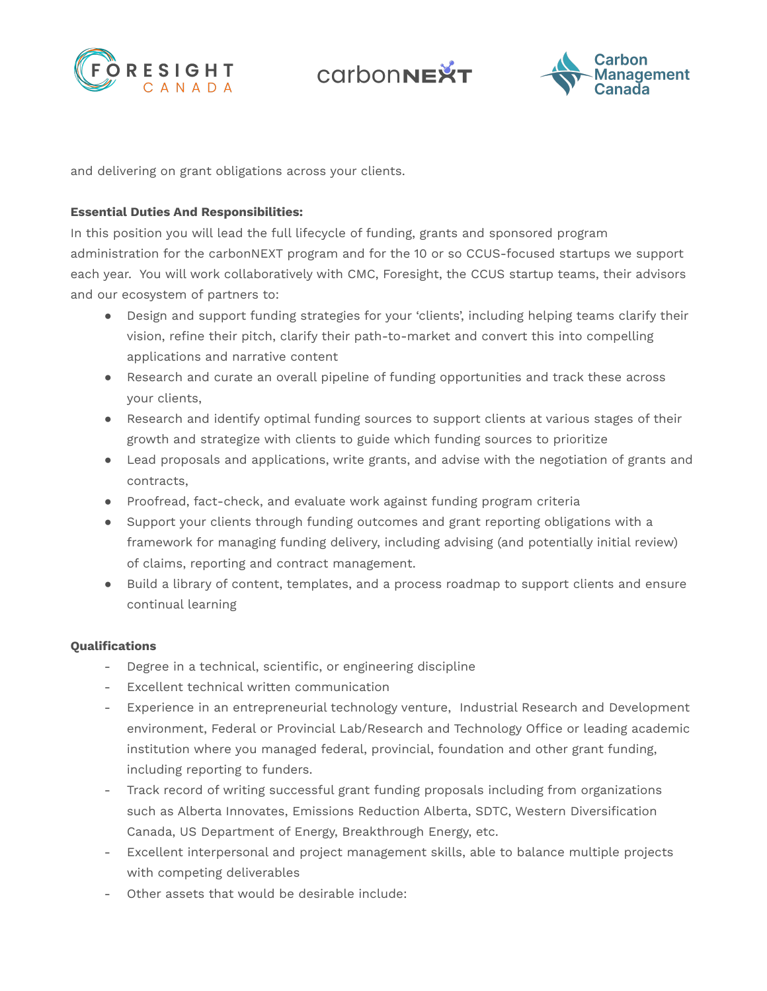





and delivering on grant obligations across your clients.

## **Essential Duties And Responsibilities:**

In this position you will lead the full lifecycle of funding, grants and sponsored program administration for the carbonNEXT program and for the 10 or so CCUS-focused startups we support each year. You will work collaboratively with CMC, Foresight, the CCUS startup teams, their advisors and our ecosystem of partners to:

- Design and support funding strategies for your 'clients', including helping teams clarify their vision, refine their pitch, clarify their path-to-market and convert this into compelling applications and narrative content
- Research and curate an overall pipeline of funding opportunities and track these across your clients,
- Research and identify optimal funding sources to support clients at various stages of their growth and strategize with clients to guide which funding sources to prioritize
- Lead proposals and applications, write grants, and advise with the negotiation of grants and contracts,
- Proofread, fact-check, and evaluate work against funding program criteria
- Support your clients through funding outcomes and grant reporting obligations with a framework for managing funding delivery, including advising (and potentially initial review) of claims, reporting and contract management.
- Build a library of content, templates, and a process roadmap to support clients and ensure continual learning

## **Qualifications**

- Degree in a technical, scientific, or engineering discipline
- Excellent technical written communication
- Experience in an entrepreneurial technology venture, Industrial Research and Development environment, Federal or Provincial Lab/Research and Technology Office or leading academic institution where you managed federal, provincial, foundation and other grant funding, including reporting to funders.
- Track record of writing successful grant funding proposals including from organizations such as Alberta Innovates, Emissions Reduction Alberta, SDTC, Western Diversification Canada, US Department of Energy, Breakthrough Energy, etc.
- Excellent interpersonal and project management skills, able to balance multiple projects with competing deliverables
- Other assets that would be desirable include: